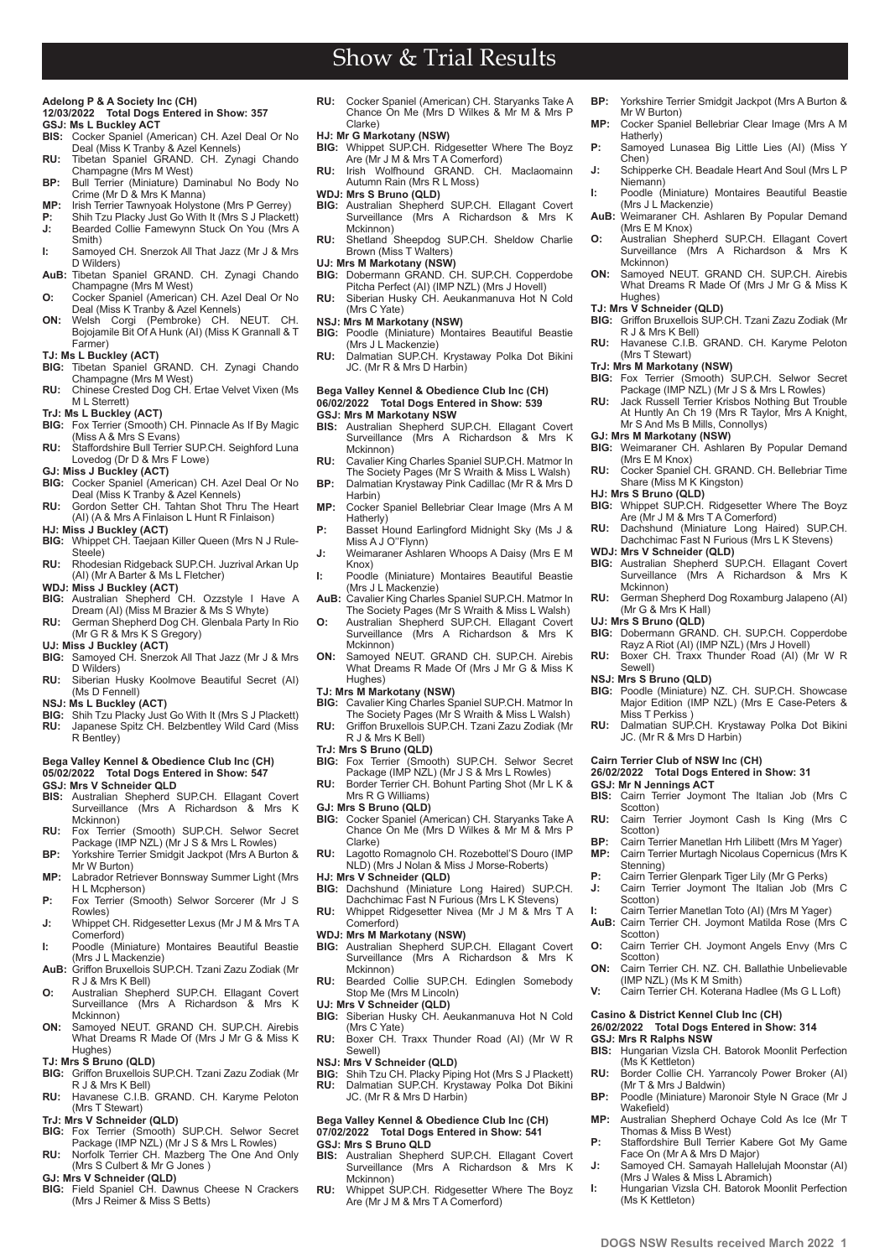# Show & Trial Results

#### **Adelong P & A Society Inc (CH) 12/03/2022 Total Dogs Entered in Show: 357 GSJ: Ms L Buckley ACT**

- **BIS:** Cocker Spaniel (American) CH. Azel Deal Or No
- Deal (Miss K Tranby & Azel Kennels) **RU:** Tibetan Spaniel GRAND. CH. Zynagi Chando Champagne (Mrs M West)
- **BP:** Bull Terrier (Miniature) Daminabul No Body No Crime (Mr D & Mrs K Manna)
- **MP:** Irish Terrier Tawnyoak Holystone (Mrs P Gerrey)
- **P:** Shih Tzu Placky Just Go With It (Mrs S J Plackett) Bearded Collie Famewynn Stuck On You (Mrs A
- Smith) **I:** Samoyed CH. Snerzok All That Jazz (Mr J & Mrs
- D Wilders) **AuB:** Tibetan Spaniel GRAND. CH. Zynagi Chando
- Champagne (Mrs M West) **O:** Cocker Spaniel (American) CH. Azel Deal Or No Deal (Miss K Tranby & Azel Kennels)
- **ON:** Welsh Corgi (Pembroke) CH. NEUT. CH. Bojojamile Bit Of A Hunk (AI) (Miss K Grannall & T Farmer)

- **TJ: Ms L Buckley (ACT) BIG:** Tibetan Spaniel GRAND. CH. Zynagi Chando Champagne (Mrs M West)
- **RU:** Chinese Crested Dog CH. Ertae Velvet Vixen (Ms M L Sterrett)
- **TrJ: Ms L Buckley (ACT) BIG:** Fox Terrier (Smooth) CH. Pinnacle As If By Magic (Miss A & Mrs S Evans)
- **RU:** Staffordshire Bull Terrier SUP.CH. Seighford Luna Lovedog (Dr D & Mrs F Lowe)
- **GJ: Miss J Buckley (ACT)**
- **BIG:** Cocker Spaniel (American) CH. Azel Deal Or No
- Deal (Miss K Tranby & Azel Kennels) **RU:** Gordon Setter CH. Tahtan Shot Thru The Heart (AI) (A & Mrs A Finlaison L Hunt R Finlaison)
- **HJ: Miss J Buckley (ACT) BIG:** Whippet CH. Taejaan Killer Queen (Mrs N J Rule-Steele)
- **RU:** Rhodesian Ridgeback SUP.CH. Juzrival Arkan Up (AI) (Mr A Barter & Ms L Fletcher)
- **WDJ: Miss J Buckley (ACT)**<br>**BIG:** Australian Shepherd (
- **BIG:** Australian Shepherd CH. Ozzstyle I Have A Dream (AI) (Miss M Brazier & Ms S Whyte)
- **RU:** German Shepherd Dog CH. Glenbala Party In Rio (Mr G R & Mrs K S Gregory)
- **UJ: Miss J Buckley (ACT)** Samoyed CH. Snerzok All That Jazz (Mr J & Mrs D Wilders)
- **RU:** Siberian Husky Koolmove Beautiful Secret (AI) (Ms D Fennell)
- **NSJ: Ms L Buckley (ACT)**
- **BIG:** Shih Tzu Placky Just Go With It (Mrs S J Plackett) **RU:** Japanese Spitz CH. Belzbentley Wild Card (Miss R Bentley)

## **Bega Valley Kennel & Obedience Club Inc (CH) 05/02/2022 Total Dogs Entered in Show: 547**

- **GSJ: Mrs V Schneider QLD**
- **BIS:** Australian Shepherd SUP.CH. Ellagant Covert Surveillance (Mrs A Richardson & Mrs K Mckinnon)
- **RU:** Fox Terrier (Smooth) SUP.CH. Selwor Secret Package (IMP NZL) (Mr J S & Mrs L Rowles)
- **BP:** Yorkshire Terrier Smidgit Jackpot (Mrs A Burton & Mr W Burton)
- **MP:** Labrador Retriever Bonnsway Summer Light (Mrs H L Mcpherson)
- **P:** Fox Terrier (Smooth) Selwor Sorcerer (Mr J S Rowles)
- **J:** Whippet CH. Ridgesetter Lexus (Mr J M & Mrs T A Comerford) **I:** Poodle (Miniature) Montaires Beautiful Beastie
- (Mrs J L Mackenzie) **AuB:** Griffon Bruxellois SUP.CH. Tzani Zazu Zodiak (Mr
- R J & Mrs K Bell) **O:** Australian Shepherd SUP.CH. Ellagant Covert
- Surveillance (Mrs A Richardson & Mrs K Mckinnon)
- **ON:** Samoyed NEUT. GRAND CH. SUP.CH. Airebis What Dreams R Made Of (Mrs J Mr G & Miss K Hughes)
- **TJ: Mrs S Bruno (QLD)**
- **BIG:** Griffon Bruxellois SUP.CH. Tzani Zazu Zodiak (Mr R J & Mrs K Bell) **RU:** Havanese C.I.B. GRAND, CH. Karyme Peloton
- (Mrs T Stewart) **TrJ: Mrs V Schneider (QLD)**

**PB www.dogsnsw.org.au DOGS NSW Results received March 2022 1**

- **BIG:** Fox Terrier (Smooth) SUP.CH. Selwor Secret
- Package (IMP NZL) (Mr J S & Mrs L Rowles) **RU:** Norfolk Terrier CH. Mazberg The One And Only
- (Mrs S Culbert & Mr G Jones ) **GJ: Mrs V Schneider (QLD)**
- **BIG:** Field Spaniel CH. Dawnus Cheese N Crackers (Mrs J Reimer & Miss S Betts)
- **RU:** Cocker Spaniel (American) CH. Staryanks Take A Chance On Me (Mrs D Wilkes & Mr M & Mrs P Clarke)
- **HJ: Mr G Markotany (NSW) BIG:** Whippet SUP.CH. Ridgesetter Where The Boyz
- Are (Mr J M & Mrs T A Comerford)
- **RU:** Irish Wolfhound GRAND. CH. Maclaomainn Autumn Rain (Mrs R L Moss) **WDJ: Mrs S Bruno (QLD)**
- **BIG:** Australian Shepherd SUP.CH. Ellagant Covert Surveillance (Mrs A Richardson & Mrs K
- Mckinnon) **RU:** Shetland Sheepdog SUP.CH. Sheldow Charlie Brown (Miss T Walters)

- **UJ: Mrs M Markotany (NSW)**<br>**BIG:** Dobermann GRAND. CH. SUP.CH. Copperdobe<br>Pitcha Perfect (AI) (IMP NZL) (Mrs J Hovell) **RU:** Siberian Husky CH. Aeukanmanuva Hot N Cold
- (Mrs C Yate)
- **NSJ: Mrs M Markotany (NSW)**
- **BIG:** Poodle (Miniature) Montaires Beautiful Beastie (Mrs J L Mackenzie) **RU:** Dalmatian SUP.CH. Krystaway Polka Dot Bikini
- JC. (Mr R & Mrs D Harbin)

### **Bega Valley Kennel & Obedience Club Inc (CH) 06/02/2022 Total Dogs Entered in Show: 539**

- **GSJ: Mrs M Markotany NSW BIS:** Australian Shepherd SUP.CH. Ellagant Covert Surveillance (Mrs A Richardson & Mrs K Mckinnon)
- **RU:** Cavalier King Charles Spaniel SUP.CH. Matmor In The Society Pages (Mr S Wraith & Miss L Walsh) **BP:** Dalmatian Krystaway Pink Cadillac (Mr R & Mrs D
- Harbin) **MP:** Cocker Spaniel Bellebriar Clear Image (Mrs A M
- Hatherly) **P:** Basset Hound Earlingford Midnight Sky (Ms J &
- Miss A J O''Flynn) **J:** Weimaraner Ashlaren Whoops A Daisy (Mrs E M
- Knox)
- **I:** Poodle (Miniature) Montaires Beautiful Beastie (Mrs J L Mackenzie)
- AuB: Cavalier King Charles Spaniel SUP.CH. Matmor In
- The Society Pages (Mr S Wraith & Miss L Walsh) **O:** Australian Shepherd SUP.CH. Ellagant Covert Surveillance (Mrs A Richardson & Mrs K Mckinnon)
- **ON:** Samoyed NEUT. GRAND CH. SUP.CH. Airebis What Dreams R Made Of (Mrs J Mr G & Miss K Hughes)

### **TJ: Mrs M Markotany (NSW)**

- **BIG:** Cavalier King Charles Spaniel SUP.CH. Matmor In The Society Pages (Mr S Wraith & Miss L Walsh)
- **RU:** Griffon Bruxellois SUP.CH. Tzani Zazu Zodiak (Mr R J & Mrs K Bell)
- **TrJ: Mrs S Bruno (QLD)**
- **BIG:** Fox Terrier (Smooth) SUP.CH. Selwor Secret Package (IMP NZL) (Mr J S & Mrs L Rowles)
- **RU:** Border Terrier CH. Bohunt Parting Shot (Mr L K &
- Mrs R G Williams) **GJ: Mrs S Bruno (QLD)**
- **BIG:** Cocker Spaniel (American) CH. Staryanks Take A Chance On Me (Mrs D Wilkes & Mr M & Mrs P Clarke)
- RU: Lagotto Romagnolo CH. Rozebottel'S Douro (IMP NLD) (Mrs J Nolan & Miss J Morse-Roberts)
- **HJ: Mrs V Schneider (QLD)**
- **BIG:** Dachshund (Miniature Long Haired) SUP.CH. Dachchimac Fast N Furious (Mrs L K Stevens) **RU:** Whippet Ridgesetter Nivea (Mr J M & Mrs T A
- Comerford)
- **WDJ: Mrs M Markotany (NSW)**
- **BIG:** Australian Shepherd SUP.CH. Ellagant Covert Surveillance (Mrs A Richardson & Mrs K
- Mckinnon) **RU:** Bearded Collie SUP.CH. Edinglen Somebody Stop Me (Mrs M Lincoln)
- **UJ: Mrs V Schneider (QLD) BIG:** Siberian Husky CH. Aeukanmanuva Hot N Cold (Mrs C Yate)
- **RU:** Boxer CH. Traxx Thunder Road (AI) (Mr W R Sewell)
- 
- **NSJ: Mrs V Schneider (QLD) BIG:** Shih Tzu CH. Placky Piping Hot (Mrs S J Plackett) **RU:** Dalmatian SUP.CH. Krystaway Polka Dot Bikini JC. (Mr R & Mrs D Harbin)

# **Bega Valley Kennel & Obedience Club Inc (CH) 07/02/2022 Total Dogs Entered in Show: 541**

- **GSJ: Mrs S Bruno QLD BIS:** Australian Shepherd SUP.CH. Ellagant Covert Surveillance (Mrs A Richardson & Mrs K Mckinnon)
- **RU:** Whippet SUP.CH. Ridgesetter Where The Boyz Are (Mr J M & Mrs T A Comerford)
- **BP:** Yorkshire Terrier Smidgit Jackpot (Mrs A Burton & Mr W Burton)
- **MP:** Cocker Spaniel Bellebriar Clear Image (Mrs A M Hatherly) **P:** Samoyed Lunasea Big Little Lies (AI) (Miss Y
- Chen) **J:** Schipperke CH. Beadale Heart And Soul (Mrs L P
- Niemann) **I:** Poodle (Miniature) Montaires Beautiful Beastie
- (Mrs J L Mackenzie) **AuB:** Weimaraner CH. Ashlaren By Popular Demand
- (Mrs E M Knox)
- **O:** Australian Shepherd SUP.CH. Ellagant Covert Surveillance (Mrs A Richardson & Mrs K Mckinnon)
- **ON:** Samoyed NEUT. GRAND CH. SUP.CH. Airebis What Dreams R Made Of (Mrs J Mr G & Miss K Hughes)

**TJ: Mrs V Schneider (QLD) BIG:** Griffon Bruxellois SUP.CH. Tzani Zazu Zodiak (Mr

**RU:** Havanese C.I.B. GRAND. CH. Karyme Peloton

**TrJ: Mrs M Markotany (NSW) BIG:** Fox Terrier (Smooth) SUP.CH. Selwor Secret Package (IMP NZL) (Mr J S & Mrs L Rowles) **RU:** Jack Russell Terrier Krisbos Nothing But Trouble At Huntly An Ch 19 (Mrs R Taylor, Mrs A Knight, Mr S And Ms B Mills, Connollys)

**BIG:** Weimaraner CH. Ashlaren By Popular Demand

**RU:** Cocker Spaniel CH. GRAND. CH. Bellebriar Time

**BIG:** Whippet SUP.CH. Ridgesetter Where The Boyz Are (Mr J M & Mrs T A Comerford) **RU:** Dachshund (Miniature Long Haired) SUP.CH. Dachchimac Fast N Furious (Mrs L K Stevens)

**BIG:** Australian Shepherd SUP.CH. Ellagant Covert Surveillance (Mrs A Richardson & Mrs K

**RU:** German Shepherd Dog Roxamburg Jalapeno (AI)

**BIG:** Dobermann GRAND. CH. SUP.CH. Copperdobe Rayz A Riot (AI) (IMP NZL) (Mrs J Hovell) **RU:** Boxer CH. Traxx Thunder Road (AI) (Mr W R

**RU:** Dalmatian SUP.CH. Krystaway Polka Dot Bikini

Poodle (Miniature) NZ. CH. SUP.CH. Showcase Major Edition (IMP NZL) (Mrs E Case-Peters &

**BIS:** Cairn Terrier Joymont The Italian Job (Mrs C

**RU:** Cairn Terrier Joymont Cash Is King (Mrs C

**BP:** Cairn Terrier Manetlan Hrh Lilibett (Mrs M Yager)<br>**MP:** Cairn Terrier Murtagh Nicolaus Copernicus (Mrs **MP:** Cairn Terrier Murtagh Nicolaus Copernicus (Mrs K

**P:** Cairn Terrier Glenpark Tiger Lily (Mr G Perks) **J:** Cairn Terrier Joymont The Italian Job (Mrs C

**I:** Cairn Terrier Manetlan Toto (AI) (Mrs M Yager) **AuB:** Cairn Terrier CH. Joymont Matilda Rose (Mrs C

**O:** Cairn Terrier CH. Joymont Angels Envy (Mrs C

**ON:** Cairn Terrier CH. NZ. CH. Ballathie Unbelievable

**V:** Cairn Terrier CH. Koterana Hadlee (Ms G L Loft)

**BIS:** Hungarian Vizsla CH. Batorok Moonlit Perfection<br>(Ms K Kettleton) **RU:** Border Collie CH. Yarrancoly Power Broker (AI)

**BP:** Poodle (Miniature) Maronoir Style N Grace (Mr J

**MP:** Australian Shepherd Ochaye Cold As Ice (Mr T Thomas & Miss B West) **P:** Staffordshire Bull Terrier Kabere Got My Game

**J:** Samoyed CH. Samayah Hallelujah Moonstar (AI) (Mrs J Wales & Miss L Abramich) **I:** Hungarian Vizsla CH. Batorok Moonlit Perfection

(IMP NZL) (Ms K M Smith)

**Casino & District Kennel Club Inc (CH) 26/02/2022 Total Dogs Entered in Show: 314**

(Mr T & Mrs J Baldwin)

Face On (Mr A & Mrs D Major)

R J & Mrs K Bell)

(Mrs T Stewart)

**GJ: Mrs M Markotany (NSW)**

**WDJ: Mrs V Schneider (QLD)**

(Mr G & Mrs K Hall) **UJ: Mrs S Bruno (QLD)**

Share (Miss M K Kingston)

(Mrs E M Knox)

**HJ: Mrs S Bruno (QLD)**

Mckinnon)

Sewell) **NSJ: Mrs S Bruno (QLD)**<br>**BIG:** Poodle (Miniature) N

Miss T Perkiss

**GSJ: Mr N Jennings ACT**<br>**BIS:** Cairn Terrier Jovmo

Scotton)

Scotton)

Stenning)

Scotton)

Scotton)

Scotton)

**GSJ: Mrs R Ralphs NSW**

Wakefield)

(Ms K Kettleton)

JC. (Mr R & Mrs D Harbin) **Cairn Terrier Club of NSW Inc (CH) 26/02/2022 Total Dogs Entered in Show: 31**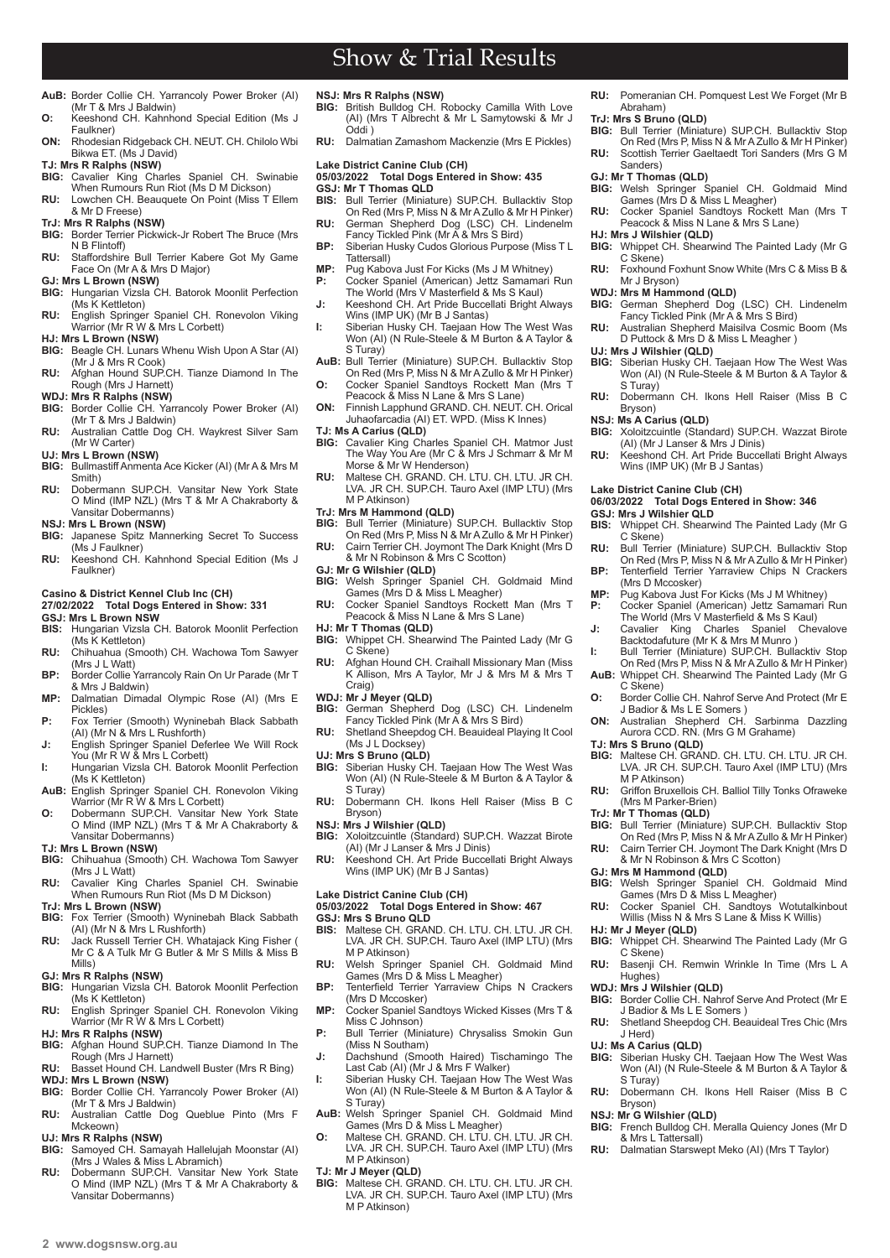$2$  www.dogsnsw.org.au **DOGS NSW Results received March 2022 3** 

# Show & Trial Results

- **AuB:** Border Collie CH. Yarrancoly Power Broker (AI) (Mr T & Mrs J Baldwin) **O:** Keeshond CH. Kahnhond Special Edition (Ms J
- Faulkner)
- **ON:** Rhodesian Ridgeback CH. NEUT. CH. Chilolo Wbi Bikwa ET. (Ms J David)

**TJ: Mrs R Ralphs (NSW)**

- **BIG:** Cavalier King Charles Spaniel CH. Swinabie When Rumours Run Riot (Ms D M Dickson) **RU:** Lowchen CH. Beauquete On Point (Miss T Ellem
- & Mr D Freese)

**TrJ: Mrs R Ralphs (NSW)**

- **BIG:** Border Terrier Pickwick-Jr Robert The Bruce (Mrs N B Flintoff) **RU:** Staffordshire Bull Terrier Kabere Got My Game
- Face On (Mr A & Mrs D Major) **GJ: Mrs L Brown (NSW)**
- **BIG:** Hungarian Vizsla CH. Batorok Moonlit Perfection (Ms K Kettleton)
- **RU:** English Springer Spaniel CH. Ronevolon Viking Warrior (Mr R W & Mrs L Corbett)
- **HJ: Mrs L Brown (NSW)**
- **BIG:** Beagle CH. Lunars Whenu Wish Upon A Star (AI) (Mr J & Mrs R Cook)
- **RU:** Afghan Hound SUP.CH. Tianze Diamond In The Rough (Mrs J Harnett)
- **WDJ: Mrs R Ralphs (NSW) BIG:** Border Collie CH. Yarrancoly Power Broker (AI)
- (Mr T & Mrs J Baldwin)
- **RU:** Australian Cattle Dog CH. Waykrest Silver Sam (Mr W Carter)
- **UJ: Mrs L Brown (NSW)**
- **BIG:** Bullmastiff Anmenta Ace Kicker (AI) (Mr A & Mrs M Smith) **RU:** Dobermann SUP.CH. Vansitar New York State
- O Mind (IMP NZL) (Mrs T & Mr A Chakraborty & Vansitar Dobermanns)
- **NSJ: Mrs L Brown (NSW)**
- Japanese Spitz Mannerking Secret To Success (Ms J Faulkner) **RU:** Keeshond CH. Kahnhond Special Edition (Ms J
- Faulkner)

## **Casino & District Kennel Club Inc (CH)**

- **27/02/2022 Total Dogs Entered in Show: 331 GSJ: Mrs L Brown NSW**
- **BIS:** Hungarian Vizsla CH. Batorok Moonlit Perfection (Ms K Kettleton)
- **RU:** Chihuahua (Smooth) CH. Wachowa Tom Sawyer (Mrs J L Watt)
- **BP:** Border Collie Yarrancoly Rain On Ur Parade (Mr T & Mrs J Baldwin) **MP:** Dalmatian Dimadal Olympic Rose (AI) (Mrs E
- Pickles) **P:** Fox Terrier (Smooth) Wyninebah Black Sabbath
- (AI) (Mr N & Mrs L Rushforth)
- **J:** English Springer Spaniel Deferlee We Will Rock You (Mr R W & Mrs L Corbett) **I:** Hungarian Vizsla CH. Batorok Moonlit Perfection
- (Ms K Kettleton)
- **AuB:** English Springer Spaniel CH. Ronevolon Viking Warrior (Mr R W & Mrs L Corbett)
- **O:** Dobermann SUP.CH. Vansitar New York State O Mind (IMP NZL) (Mrs T & Mr A Chakraborty & Vansitar Dobermanns)
- **TJ: Mrs L Brown (NSW)**
- **BIG:** Chihuahua (Smooth) CH. Wachowa Tom Sawyer (Mrs J L Watt)
- **RU:** Cavalier King Charles Spaniel CH. Swinabie When Rumours Run Riot (Ms D M Dickson) **TrJ: Mrs L Brown (NSW)**
- **BIG:** Fox Terrier (Smooth) Wyninebah Black Sabbath
- (AI) (Mr N & Mrs L Rushforth) **RU:** Jack Russell Terrier CH. Whatajack King Fisher ( Mr C & A Tulk Mr G Butler & Mr S Mills & Miss B Mills)
- **GJ: Mrs R Ralphs (NSW)**
- **BIG:** Hungarian Vizsla CH. Batorok Moonlit Perfection (Ms K Kettleton)
- **RU:** English Springer Spaniel CH. Ronevolon Viking Warrior (Mr R W & Mrs L Corbett)
- **HJ: Mrs R Ralphs (NSW)**
- **BIG:** Afghan Hound SUP.CH. Tianze Diamond In The Rough (Mrs J Harnett)
- **RU:** Basset Hound CH. Landwell Buster (Mrs R Bing) **WDJ: Mrs L Brown (NSW)**
- **BIG:** Border Collie CH. Yarrancoly Power Broker (AI) (Mr T & Mrs J Baldwin)
- **RU:** Australian Cattle Dog Queblue Pinto (Mrs F Mckeown)

#### **UJ: Mrs R Ralphs (NSW)**

- **BIG:** Samoyed CH. Samayah Hallelujah Moonstar (AI) (Mrs J Wales & Miss L Abramich)
- **RU:** Dobermann SUPCH, Vansitar New York State O Mind (IMP NZL) (Mrs T & Mr A Chakraborty & Vansitar Dobermanns)
- **NSJ: Mrs R Ralphs (NSW) BIG:** British Bulldog CH. Robocky Camilla With Love (AI) (Mrs T Albrecht & Mr L Samytowski & Mr J Oddi )
- **RU:** Dalmatian Zamashom Mackenzie (Mrs E Pickles)

# **Lake District Canine Club (CH)**

- **05/03/2022 Total Dogs Entered in Show: 435 GSJ: Mr T Thomas QLD**
- **BIS:** Bull Terrier (Miniature) SUP.CH. Bullacktiv Stop On Red (Mrs P, Miss N & Mr A Zullo & Mr H Pinker) **RU:** German Shepherd Dog (LSC) CH. Lindenelm Fancy Tickled Pink (Mr A & Mrs S Bird)
- **BP:** Siberian Husky Cudos Glorious Purpose (Miss T L
- Tattersall) **MP:** Pug Kabova Just For Kicks (Ms J M Whitney)<br>**P:** Cocker Spaniel (American) Jettz Samamari
- **P:** Cocker Spaniel (American) Jettz Samamari Run The World (Mrs V Masterfield & Ms S Kaul)
- **J:** Keeshond CH. Art Pride Buccellati Bright Always Wins (IMP UK) (Mr B J Santas)
- **I:** Siberian Husky CH. Taejaan How The West Was Won (AI) (N Rule-Steele & M Burton & A Taylor & S Turay) **AuB:** Bull Terrier (Miniature) SUP.CH. Bullacktiv Stop
- On Red (Mrs P, Miss N & Mr A Zullo & Mr H Pinker) **O:** Cocker Spaniel Sandtoys Rockett Man (Mrs T
- Peacock & Miss N Lane & Mrs S Lane)
- **ON:** Finnish Lapphund GRAND. CH. NEUT. CH. Orical Juhaofarcadia (AI) ET. WPD. (Miss K Innes)
- **TJ: Ms A Carius (QLD)**
- **BIG:** Cavalier King Charles Spaniel CH. Matmor Just The Way You Are (Mr C & Mrs J Schmarr & Mr M Morse & Mr W Henderson)
- **RU:** Maltese CH. GRAND. CH. LTU. CH. LTU. JR CH. LVA. JR CH. SUP.CH. Tauro Axel (IMP LTU) (Mrs M P Atkinson)
- **TrJ: Mrs M Hammond (QLD)**
- **BIG:** Bull Terrier (Miniature) SUP.CH. Bullacktiv Stop On Red (Mrs P, Miss N & Mr A Zullo & Mr H Pinker) **RU:** Cairn Terrier CH. Joymont The Dark Knight (Mrs D
- & Mr N Robinson & Mrs C Scotton) **GJ: Mr G Wilshier (QLD)**
- **BIG:** Welsh Springer Spaniel CH. Goldmaid Mind Games (Mrs D & Miss L Meagher) **RU:** Cocker Spaniel Sandtoys Rockett Man (Mrs T
- Peacock & Miss N Lane & Mrs S Lane)
- **HJ: Mr T Thomas (QLD)**<br>**BIG:** Whinnet CH, Shear
- **BIG:** Whippet CH. Shearwind The Painted Lady (Mr G C Skene)
- **RU:** Afghan Hound CH. Craihall Missionary Man (Miss K Allison, Mrs A Taylor, Mr J & Mrs M & Mrs T Craig)
- 
- **WDJ: Mr J Meyer (QLD) BIG:** German Shepherd Dog (LSC) CH. Lindenelm Fancy Tickled Pink (Mr A & Mrs S Bird)
- **RU:** Shetland Sheepdog CH. Beauideal Playing It Cool (Ms J L Docksey)
- **UJ: Mrs S Bruno (QLD)**
- **BIG:** Siberian Husky CH. Taejaan How The West Was Won (AI) (N Rule-Steele & M Burton & A Taylor & S Turay)
- **RU:** Dobermann CH. Ikons Hell Raiser (Miss B C Bryson)
- **NSJ: Mrs J Wilshier (QLD)**
- **BIG:** Xoloitzcuintle (Standard) SUP.CH. Wazzat Birote (AI) (Mr J Lanser & Mrs J Dinis)
- **RU:** Keeshond CH. Art Pride Buccellati Bright Always Wins (IMP UK) (Mr B J Santas)

#### **Lake District Canine Club (CH) 05/03/2022 Total Dogs Entered in Show: 467**

# **GSJ: Mrs S Bruno QLD**<br>**BIS:** Maltese CH\_GRAN

- **BIS:** Maltese CH. GRAND. CH. LTU. CH. LTU. JR CH. LVA. JR CH. SUP.CH. Tauro Axel (IMP LTU) (Mrs M P Atkinson)
- **RU:** Welsh Springer Spaniel CH. Goldmaid Mind Games (Mrs D & Miss L Meagher)
- **BP:** Tenterfield Terrier Yarraview Chips N Crackers (Mrs D Mccosker)
- **MP:** Cocker Spaniel Sandtoys Wicked Kisses (Mrs T & Miss C Johnson)
- **P:** Bull Terrier (Miniature) Chrysaliss Smokin Gun (Miss N Southam)
- **J:** Dachshund (Smooth Haired) Tischamingo The Last Cab (AI) (Mr J & Mrs F Walker)
- **I:** Siberian Husky CH. Taejaan How The West Was Won (AI) (N Rule-Steele & M Burton & A Taylor &
- S Turay)<br> **AuB:** Welsh Springer Spaniel CH. Goldmaid Mind<br>
Games (Mrs D & Miss L Meagher)<br> **O:** Maltese CH. GRAND. CH. LTU. CH. LTU. JR CH.<br>
LVA. JR CH. SUP.CH. Tauro Axel (IMP LTU) (Mrs
- M P Atkinson)
- **TJ: Mr J Meyer (QLD)**
- **BIG:** Maltese CH. GRAND. CH. LTU. CH. LTU. JR CH. LVA. JR CH. SUP.CH. Tauro Axel (IMP LTU) (Mrs M P Atkinson)

**RU:** Pomeranian CH. Pomquest Lest We Forget (Mr B Abraham)

**BIG:** Welsh Springer Spaniel CH. Goldmaid Mind Games (Mrs D & Miss L Meagher) **RU:** Cocker Spaniel Sandtoys Rockett Man (Mrs T Peacock & Miss N Lane & Mrs S Lane)

**BIG:** Whippet CH. Shearwind The Painted Lady (Mr G

**RU:** Foxhound Foxhunt Snow White (Mrs C & Miss B &

**BIG:** German Shepherd Dog (LSC) CH. Lindenelm Fancy Tickled Pink (Mr A & Mrs S Bird) **RU:** Australian Shepherd Maisilva Cosmic Boom (Ms D Puttock & Mrs D & Miss L Meagher ) **UJ: Mrs J Wilshier (QLD)**<br>**BIG:** Siberian Husky CH. Taejaan How The West Was<br>Won (AI) (N Rule-Steele & M Burton & A Taylor &

**RU:** Dobermann CH. Ikons Hell Raiser (Miss B C

**RU:** Keeshond CH. Art Pride Buccellati Bright Always Wins (IMP UK) (Mr B J Santas)

(AI) (Mr J Lanser & Mrs J Dinis)

**06/03/2022 Total Dogs Entered in Show: 346**

**Lake District Canine Club (CH)** 

**GSJ: Mrs J Wilshier QLD**

(Mrs D Mccosker)

C Skene)

C Skene)

M P Atkinson)

(Mrs M Parker-Brien) **TrJ: Mr T Thomas (QLD)**

**GJ: Mrs M Hammond (QLD)**

**HJ: Mr J Meyer (QLD)**

C Skene)

Hughes) **WDJ: Mrs J Wilshier (QLD)**

J Herd)

S Turay)

Bryson) **NSJ: Mr G Wilshier (QLD)**

& Mrs L Tattersall)

**BIG:** Xoloitzcuintle (Standard) SUP.CH. Wazzat Birote

**BIS:** Whippet CH. Shearwind The Painted Lady (Mr G

**RU:** Bull Terrier (Miniature) SUP.CH. Bullacktiv Stop On Red (Mrs P, Miss N & Mr A Zullo & Mr H Pinker) **BP:** Tenterfield Terrier Yarraview Chips N Crackers

**MP:** Pug Kabova Just For Kicks (Ms J M Whitney)<br>**P:** Cocker Spaniel (American) Jettz Samamari **P:** Cocker Spaniel (American) Jettz Samamari Run The World (Mrs V Masterfield & Ms S Kaul) **J:** Cavalier King Charles Spaniel Chevalove Backtodafuture (Mr K & Mrs M Munro ) **I:** Bull Terrier (Miniature) SUP.CH. Bullacktiv Stop On Red (Mrs P, Miss N & Mr A Zullo & Mr H Pinker) **AuB:** Whippet CH. Shearwind The Painted Lady (Mr G

**O:** Border Collie CH. Nahrof Serve And Protect (Mr E J Badior & Ms L E Somers ) **ON:** Australian Shepherd CH. Sarbinma Dazzling Aurora CCD. RN. (Mrs G M Grahame)

**TJ: Mrs S Bruno (QLD) BIG:** Maltese CH. GRAND. CH. LTU. CH. LTU. JR CH. LVA. JR CH. SUP.CH. Tauro Axel (IMP LTU) (Mrs

**RU:** Griffon Bruxellois CH. Balliol Tilly Tonks Ofraweke

**BIG:** Bull Terrier (Miniature) SUP.CH. Bullacktiv Stop On Red (Mrs P, Miss N & Mr A Zullo & Mr H Pinker) **RU:** Cairn Terrier CH. Joymont The Dark Knight (Mrs D & Mr N Robinson & Mrs C Scotton)

**BIG:** Welsh Springer Spaniel CH. Goldmaid Mind Games (Mrs D & Miss L Meagher) **RU:** Cocker Spaniel CH. Sandtoys Wotutalkinbout Willis (Miss N & Mrs S Lane & Miss K Willis)

**BIG:** Whippet CH. Shearwind The Painted Lady (Mr G

**RU:** Basenji CH. Remwin Wrinkle In Time (Mrs L A

**BIG:** Border Collie CH. Nahrof Serve And Protect (Mr E

**RU:** Shetland Sheepdog CH. Beauideal Tres Chic (Mrs

**UJ: Ms A Carius (QLD) BIG:** Siberian Husky CH. Taejaan How The West Was Won (AI) (N Rule-Steele & M Burton & A Taylor &

**RU:** Dobermann CH. Ikons Hell Raiser (Miss B C

**RU:** Dalmatian Starswept Meko (AI) (Mrs T Taylor)

**BIG:** French Bulldog CH. Meralla Quiency Jones (Mr D

J Badior & Ms L E Somers )

On Red (Mrs P, Miss N & Mr A Zullo & Mr H Pinker) **RU:** Scottish Terrier Gaeltaedt Tori Sanders (Mrs G M

**TrJ: Mrs S Bruno (QLD) BIG:** Bull Terrier (Miniature) SUP.CH. Bullacktiv Stop

**HJ: Mrs J Wilshier (QLD)**

Mr J Bryson) **WDJ: Mrs M Hammond (QLD)**

C Skene)

S Turay)

Bryson) **NSJ: Ms A Carius (QLD)**<br>**BIG:** Xoloitzcuintle (Stand

Sanders) **GJ: Mr T Thomas (QLD)**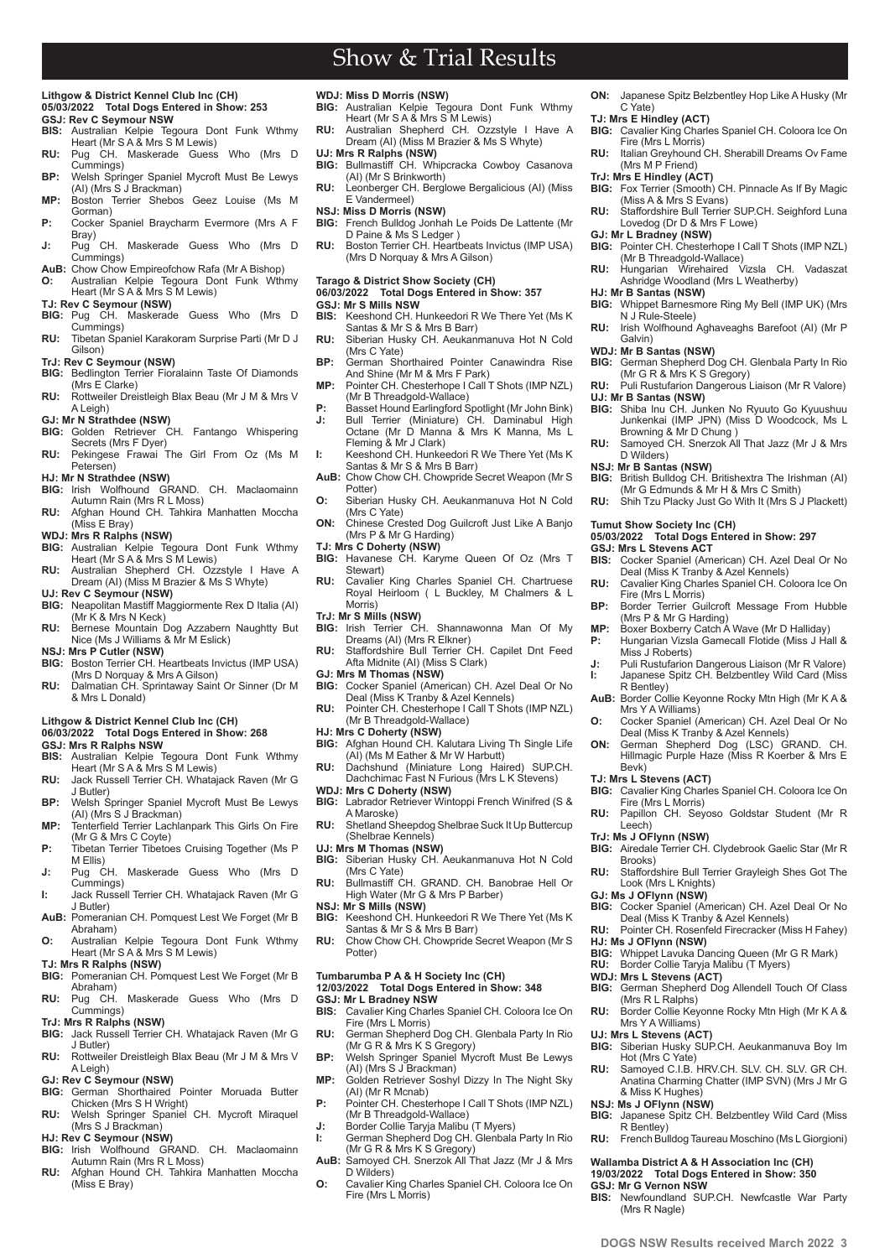# Show & Trial Results

# **Lithgow & District Kennel Club Inc (CH) 05/03/2022 Total Dogs Entered in Show: 253 GSJ: Rev C Seymour NSW**<br>**BIS:** Australian Kelpje Tech

- **BIS:** Australian Kelpie Tegoura Dont Funk Wthmy Heart (Mr S A & Mrs S M Lewis)
- **RU:** Pug CH. Maskerade Guess Who (Mrs D Cummings) **BP:** Welsh Springer Spaniel Mycroft Must Be Lewys
- (AI) (Mrs S J Brackman) **MP:** Boston Terrier Shebos Geez Louise (Ms M
- Gorman) **P:** Cocker Spaniel Braycharm Evermore (Mrs A F
- Bray)<br>Puq **J:** Pug CH. Maskerade Guess Who (Mrs D Cummings)
- **AuB:** Chow Chow Empireofchow Rafa (Mr A Bishop) **O:** Australian Kelpie Tegoura Dont Funk Wthmy
- Heart (Mr S A & Mrs S M Lewis) **TJ: Rev C Seymour (NSW)**
- **BIG:** Pug CH. Maskerade Guess Who (Mrs D
- Cummings) **RU:** Tibetan Spaniel Karakoram Surprise Parti (Mr D J
- Gilson) **TrJ: Rev C Seymour (NSW)**
- **BIG:** Bedlington Terrier Fioralainn Taste Of Diamonds (Mrs E Clarke)
- **RU:** Rottweiler Dreistleigh Blax Beau (Mr J M & Mrs V A Leigh)
- **GJ: Mr N Strathdee (NSW)**
- **BIG:** Golden Retriever CH. Fantango Whispering Secrets (Mrs F Dyer) **RU:** Pekingese Frawai The Girl From Oz (Ms M
- Petersen)
- **HJ: Mr N Strathdee (NSW)**
- **BIG:** Irish Wolfhound GRAND. CH. Maclaomainn Autumn Rain (Mrs R L Moss)
- **RU:** Afghan Hound CH. Tahkira Manhatten Moccha (Miss E Bray)
- **WDJ: Mrs R Ralphs (NSW)**
- **BIG:** Australian Kelpie Tegoura Dont Funk Wthmy Heart (Mr S A & Mrs S M Lewis) **RU:** Australian Shepherd CH. Ozzstyle I Have A
- Dream (AI) (Miss M Brazier & Ms S Whyte) **UJ: Rev C Seymour (NSW)**
- **BIG:** Neapolitan Mastiff Maggiormente Rex D Italia (AI) (Mr K & Mrs N Keck)
- **RU:** Bernese Mountain Dog Azzabern Naughtty But Nice (Ms J Williams & Mr M Eslick) **NSJ: Mrs P Cutler (NSW)**
- **BIG:** Boston Terrier CH. Heartbeats Invictus (IMP USA) (Mrs D Norquay & Mrs A Gilson)
- **RU:** Dalmatian CH. Sprintaway Saint Or Sinner (Dr M & Mrs L Donald)

### **Lithgow & District Kennel Club Inc (CH)**

**06/03/2022 Total Dogs Entered in Show: 268**

# **GSJ: Mrs R Ralphs NSW**

- **BIS:** Australian Kelpie Tegoura Dont Funk Wthmy Heart (Mr S A & Mrs S M Lewis)
- **RU:** Jack Russell Terrier CH. Whatajack Raven (Mr G J Butler) **BP:** Welsh Springer Spaniel Mycroft Must Be Lewys
- (AI) (Mrs S J Brackman) **MP:** Tenterfield Terrier Lachlanpark This Girls On Fire
- (Mr G & Mrs C Coyte)
- **P:** Tibetan Terrier Tibetoes Cruising Together (Ms P) M Ellis)<br>Pug CH.
- **J:** Pug CH. Maskerade Guess Who (Mrs D Cummings) **I:** Jack Russell Terrier CH. Whatajack Raven (Mr G
- J Butler)
- **AuB:** Pomeranian CH. Pomquest Lest We Forget (Mr B Abraham) **O:** Australian Kelpie Tegoura Dont Funk Wthmy
- Heart (Mr S A & Mrs S M Lewis) **TJ: Mrs R Ralphs (NSW)**
- **BIG:** Pomeranian CH. Pomquest Lest We Forget (Mr B
- Abraham) **RU:** Pug CH. Maskerade Guess Who (Mrs D
- Cummings) **TrJ: Mrs R Ralphs (NSW)**
- **BIG:** Jack Russell Terrier CH. Whatajack Raven (Mr G J Butler)
- **RU:** Rottweiler Dreistleigh Blax Beau (Mr J M & Mrs V A Leigh)
- **GJ: Rev C Seymour (NSW)**
- **BIG:** German Shorthaired Pointer Moruada Butter Chicken (Mrs S H Wright)
- **RU:** Welsh Springer Spaniel CH. Mycroft Miraquel (Mrs S J Brackman)
- **HJ: Rev C Seymour (NSW)**

**2 www.dogsnsw.org.au DOGS NSW Results received March 2022 3**

- **BIG:** Irish Wolfhound GRAND. CH. Maclaomainn Autumn Rain (Mrs R L Moss)
- **RU:** Afghan Hound CH. Tahkira Manhatten Moccha (Miss E Bray)
- **WDJ: Miss D Morris (NSW)**
- **BIG:** Australian Kelpie Tegoura Dont Funk Wthmy Heart (Mr S A & Mrs S M Lewis)

**ON:** Japanese Spitz Belzbentley Hop Like A Husky (Mr

**TJ: Mrs E Hindley (ACT) BIG:** Cavalier King Charles Spaniel CH. Coloora Ice On Fire (Mrs L Morris) **RU:** Italian Greyhound CH. Sherabill Dreams Ov Fame

**BIG:** Fox Terrier (Smooth) CH. Pinnacle As If By Magic

**RU:** Staffordshire Bull Terrier SUP.CH. Seighford Luna

**GJ: Mr L Bradney (NSW) BIG:** Pointer CH. Chesterhope I Call T Shots (IMP NZL) (Mr B Threadgold-Wallace) **RU:** Hungarian Wirehaired Vizsla CH. Vadaszat Ashridge Woodland (Mrs L Weatherby)

**BIG:** Whippet Barnesmore Ring My Bell (IMP UK) (Mrs N J Rule-Steele) **RU:** Irish Wolfhound Aghaveaghs Barefoot (AI) (Mr P

**BIG:** German Shepherd Dog CH. Glenbala Party In Rio (Mr G R & Mrs K S Gregory) **RU:** Puli Rustufarion Dangerous Liaison (Mr R Valore)

**BIG:** Shiba Inu CH. Junken No Ryuuto Go Kyuushuu Junkenkai (IMP JPN) (Miss D Woodcock, Ms L

**RU:** Samoyed CH. Snerzok All That Jazz (Mr J & Mrs

**BIG:** British Bulldog CH. Britishextra The Irishman (AI) (Mr G Edmunds & Mr H & Mrs C Smith) **RU:** Shih Tzu Placky Just Go With It (Mrs S J Plackett)

**BIS:** Cocker Spaniel (American) CH. Azel Deal Or No Deal (Miss K Tranby & Azel Kennels) **RU:** Cavalier King Charles Spaniel CH. Coloora Ice On

**BP:** Border Terrier Guilcroft Message From Hubble (Mrs P & Mr G Harding) **MP:** Boxer Boxberry Catch A Wave (Mr D Halliday) **P:** Hungarian Vizsla Gamecall Flotide (Miss J Hall &

**J:** Puli Rustufarion Dangerous Liaison (Mr R Valore) **I:** Japanese Spitz CH. Belzbentley Wild Card (Miss

**AuB:** Border Collie Keyonne Rocky Mtn High (Mr K A &

**O:** Cocker Spaniel (American) CH. Azel Deal Or No Deal (Miss K Tranby & Azel Kennels) **ON:** German Shepherd Dog (LSC) GRAND. CH. Hillmagic Purple Haze (Miss R Koerber & Mrs E

**BIG:** Cavalier King Charles Spaniel CH. Coloora Ice On

**RU:** Papillon CH. Seyoso Goldstar Student (Mr R

**BIG:** Airedale Terrier CH. Clydebrook Gaelic Star (Mr R

**RU:** Staffordshire Bull Terrier Grayleigh Shes Got The

**BIG:** Cocker Spaniel (American) CH. Azel Deal Or No Deal (Miss K Tranby & Azel Kennels) **RU:** Pointer CH. Rosenfeld Firecracker (Miss H Fahey)

**BIG:** Whippet Lavuka Dancing Queen (Mr G R Mark)<br>**BIG:** Whippet Collie Tarvia Malibu (T Myers) Border Collie Taryja Malibu (T Myers)

**BIG:** German Shepherd Dog Allendell Touch Of Class (Mrs R L Ralphs) **RU:** Border Collie Keyonne Rocky Mtn High (Mr K A &

**UJ: Mrs L Stevens (ACT) BIG:** Siberian Husky SUP.CH. Aeukanmanuva Boy Im

**RU:** Samoyed C.I.B. HRV.CH. SLV. CH. SLV. GR CH. Anatina Charming Chatter (IMP SVN) (Mrs J Mr G & Miss K Hughes)

**RU:** French Bulldog Taureau Moschino (Ms L Giorgioni) **Wallamba District A & H Association Inc (CH) 19/03/2022 Total Dogs Entered in Show: 350**

**BIS:** Newfoundland SUP.CH. Newfcastle War Party

**BIG:** Japanese Spitz CH. Belzbentley Wild Card (Miss

**05/03/2022 Total Dogs Entered in Show: 297**

C Yate)

(Mrs M P Friend) **TrJ: Mrs E Hindley (ACT)**

**HJ: Mr B Santas (NSW)**

**UJ: Mr B Santas (NSW)**

D Wilders) **NSJ: Mr B Santas (NSW)**

**Tumut Show Society Inc (CH)** 

Fire (Mrs L Morris)

Miss J Roberts)

Mrs Y A Williams)

Fire (Mrs L Morris)

Look (Mrs L Knights) **GJ: Ms J OFlynn (NSW)**

R Bentley)

Bevk) **TJ: Mrs L Stevens (ACT)**

Leech) **TrJ: Ms J OFlynn (NSW)**

Brooks)

**HJ: Ms J OFlynn (NSW)**

**WDJ: Mrs L Stevens (ACT)**

Mrs Y A Williams)

Hot (Mrs C Yate)

**NSJ: Ms J OFlynn (NSW)**

R Bentley)

**GSJ: Mr G Vernon NSW**

(Mrs R Nagle)

**GSJ: Mrs L Stevens ACT**

Browning & Mr D Chung )

Galvin) **WDJ: Mr B Santas (NSW)**

(Miss A & Mrs S Evans)

Lovedog (Dr D & Mrs F Lowe)

- **RU:** Australian Shepherd CH. Ozzstyle I Have A Dream (AI) (Miss M Brazier & Ms S Whyte)
- **UJ: Mrs R Ralphs (NSW) BIG:** Bullmastiff CH. Whipcracka Cowboy Casanova
- (AI) (Mr S Brinkworth) **RU:** Leonberger CH. Berglowe Bergalicious (AI) (Miss E Vandermeel)
- **NSJ: Miss D Morris (NSW)**
- **BIG:** French Bulldog Jonhah Le Poids De Lattente (Mr D Paine & Ms S Ledger )
- **RU:** Boston Terrier CH. Heartbeats Invictus (IMP USA) (Mrs D Norquay & Mrs A Gilson)

#### **Tarago & District Show Society (CH)**

# **06/03/2022 Total Dogs Entered in Show: 357 GSJ: Mr S Mills NSW**

- **BIS:** Keeshond CH. Hunkeedori R We There Yet (Ms K Santas & Mr S & Mrs B Barr)
- **RU:** Siberian Husky CH. Aeukanmanuva Hot N Cold (Mrs C Yate)
- **BP:** German Shorthaired Pointer Canawindra Rise And Shine (Mr M & Mrs F Park)
- **MP:** Pointer CH. Chesterhope I Call T Shots (IMP NZL)
- (Mr B Threadgold-Wallace) **P:** Basset Hound Earlingford Spotlight (Mr John Bink) **J:** Bull Terrier (Miniature) CH. Daminabul High Octane (Mr D Manna & Mrs K Manna, Ms L
- Fleming & Mr J Clark) **I:** Keeshond CH. Hunkeedori R We There Yet (Ms K Santas & Mr S & Mrs B Barr)
- AuB: Chow Chow CH. Chowpride Secret Weapon (Mr S Potter)
- **O:** Siberian Husky CH. Aeukanmanuva Hot N Cold (Mrs C Yate)
- **ON:** Chinese Crested Dog Guilcroft Just Like A Banjo (Mrs P & Mr G Harding)
- 
- **TJ: Mrs C Doherty (NSW) BIG:** Havanese CH. Karyme Queen Of Oz (Mrs T Stewart)
- **RU:** Cavalier King Charles Spaniel CH. Chartruese Royal Heirloom ( L Buckley, M Chalmers & L Morris)
- **TrJ: Mr S Mills (NSW)**
- **BIG:** Irish Terrier CH. Shannawonna Man Of My Dreams (AI) (Mrs R Elkner)
- **RU:** Staffordshire Bull Terrier CH. Capilet Dnt Feed Afta Midnite (AI) (Miss S Clark)
- **GJ: Mrs M Thomas (NSW)**
- **BIG:** Cocker Spaniel (American) CH. Azel Deal Or No Deal (Miss K Tranby & Azel Kennels) **RU:** Pointer CH. Chesterhope I Call T Shots (IMP NZL)
- (Mr B Threadgold-Wallace)
- **HJ: Mrs C Doherty (NSW)**
- **BIG:** Afghan Hound CH. Kalutara Living Th Single Life (AI) (Ms M Eather & Mr W Harbutt) **RU:** Dachshund (Miniature Long Haired) SUP.CH.
- Dachchimac Fast N Furious (Mrs L K Stevens)
- **WDJ: Mrs C Doherty (NSW) BIG:** Labrador Retriever Wintoppi French Winifred (S &
- A Maroske) **RU:** Shetland Sheepdog Shelbrae Suck It Up Buttercup (Shelbrae Kennels)
- **UJ: Mrs M Thomas (NSW)**
- **BIG:** Siberian Husky CH. Aeukanmanuva Hot N Cold (Mrs C Yate)
- **RU:** Bullmastiff CH. GRAND. CH. Banobrae Hell Or High Water (Mr G & Mrs P Barber)
- **NSJ: Mr S Mills (NSW)**
- **BIG:** Keeshond CH. Hunkeedori R We There Yet (Ms K Santas & Mr S & Mrs B Barr) **RU:** Chow Chow CH. Chowpride Secret Weapon (Mr S
- Potter)

### **Tumbarumba P A & H Society Inc (CH) 12/03/2022 Total Dogs Entered in Show: 348**

- 
- **GSJ: Mr L Bradney NSW BIS:** Cavalier King Charles Spaniel CH. Coloora Ice On Fire (Mrs L Morris)
- **RU:** German Shepherd Dog CH. Glenbala Party In Rio (Mr G R & Mrs K S Gregory) **BP:** Welsh Springer Spaniel Mycroft Must Be Lewys
- (AI) (Mrs S J Brackman)
- **MP:** Golden Retriever Soshyl Dizzy In The Night Sky (AI) (Mr R Mcnab)
- **P:** Pointer CH. Chesterhope I Call T Shots (IMP NZL) (Mr B Threadgold-Wallace)
- 
- **J:** Border Collie Taryja Malibu (T Myers) **I:** German Shepherd Dog CH. Glenbala Party In Rio (Mr G R & Mrs K S Gregory)
- **AuB:** Samoyed CH. Snerzok All That Jazz (Mr J & Mrs
- D Wilders) **O:** Cavalier King Charles Spaniel CH. Coloora Ice On Fire (Mrs L Morris)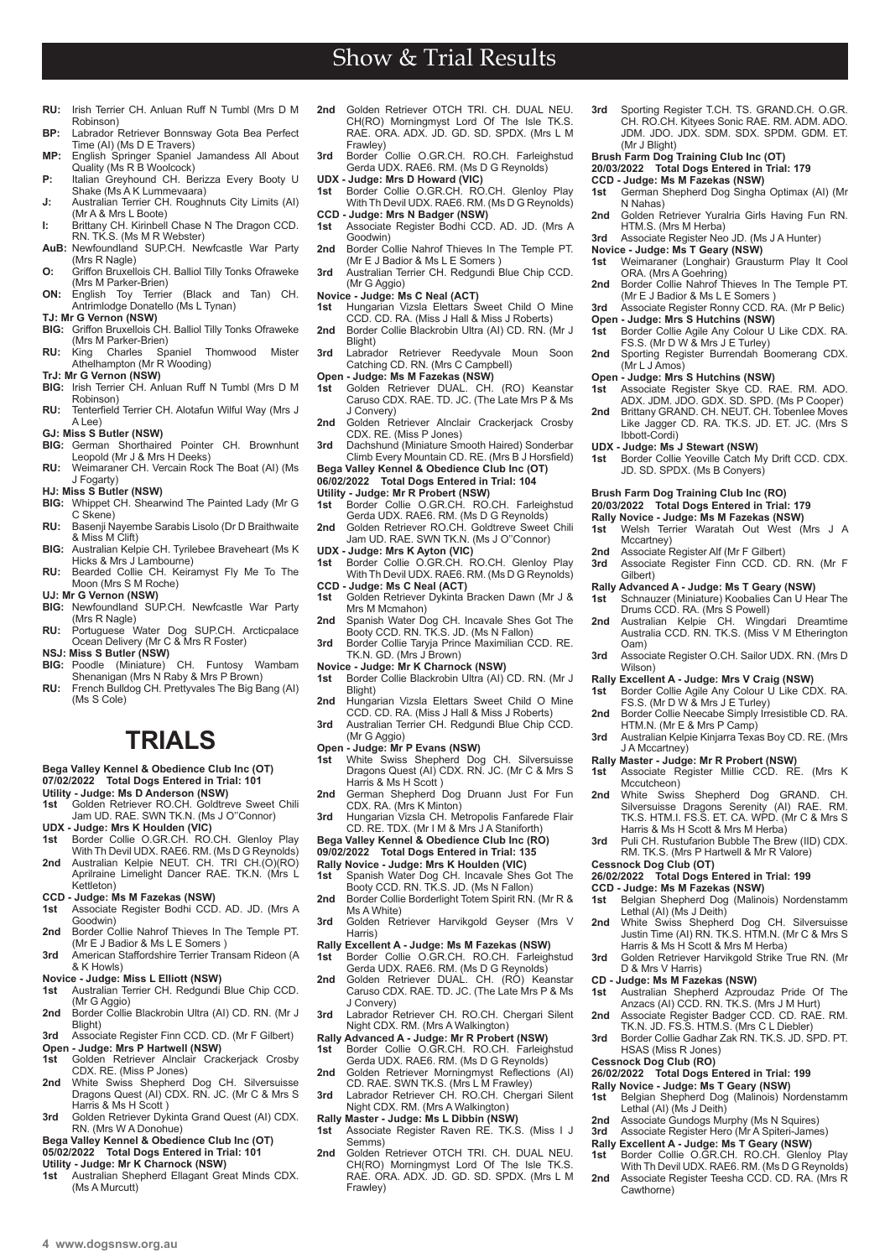- **RU:** Irish Terrier CH. Anluan Ruff N Tumbl (Mrs D M Robinson) **BP:** Labrador Retriever Bonnsway Gota Bea Perfect
- Time (AI) (Ms D E Travers) **MP:** English Springer Spaniel Jamandess All About
- Quality (Ms R B Woolcock) **P:** Italian Greyhound CH. Berizza Every Booty U Shake (Ms A K Lummevaara)
- **J:** Australian Terrier CH. Roughnuts City Limits (AI) (Mr A & Mrs L Boote)
- **I:** Brittany CH. Kirinbell Chase N The Dragon CCD. RN. TK.S. (Ms M R Webster) **AuB:** Newfoundland SUP.CH. Newfcastle War Party
- (Mrs R Nagle)
- **O:** Griffon Bruxellois CH. Balliol Tilly Tonks Ofraweke
- (Mrs M Parker-Brien) **ON:** English Toy Terrier (Black and Tan) CH. Antrimlodge Donatello (Ms L Tynan) **TJ: Mr G Vernon (NSW)**
- **BIG:** Griffon Bruxellois CH. Balliol Tilly Tonks Ofraweke
- (Mrs M Parker-Brien)<br>King Charles Spaniel Thomwood Mister **RU:** King Charles Spaniel Thomwood Mister Athelhampton (Mr R Wooding)
- **TrJ: Mr G Vernon (NSW)**
- **BIG:** Irish Terrier CH. Anluan Ruff N Tumbl (Mrs D M Robinson)
- **RU:** Tenterfield Terrier CH. Alotafun Wilful Way (Mrs J A Lee)
- **GJ: Miss S Butler (NSW)**
- **BIG:** German Shorthaired Pointer CH. Brownhunt Leopold (Mr J & Mrs H Deeks)
- **RU:** Weimaraner CH. Vercain Rock The Boat (AI) (Ms J Fogarty) **HJ: Miss S Butler (NSW)**
- **BIG:** Whippet CH. Shearwind The Painted Lady (Mr G C Skene)
- **RU:** Basenji Nayembe Sarabis Lisolo (Dr D Braithwaite & Miss M Clift)
- **BIG:** Australian Kelpie CH. Tyrilebee Braveheart (Ms K
- Hicks & Mrs J Lambourne) **RU:** Bearded Collie CH. Keiramyst Fly Me To The Moon (Mrs S M Roche) **UJ: Mr G Vernon (NSW)**
- **BIG:** Newfoundland SUP.CH. Newfcastle War Party
- (Mrs R Nagle) **RU:** Portuguese Water Dog SUP.CH. Arcticpalace Ocean Delivery (Mr C & Mrs R Foster)
- 
- **NSJ: Miss S Butler (NSW) BIG:** Poodle (Miniature) CH. Funtosy Wambam Shenanigan (Mrs N Raby & Mrs P Brown)
- **RU:** French Bulldog CH. Prettyvales The Big Bang (AI) (Ms S Cole)

# **TRIALS**

### **Bega Valley Kennel & Obedience Club Inc (OT) 07/02/2022 Total Dogs Entered in Trial: 101**

- **Utility Judge: Ms D Anderson (NSW)**
- **1st** Golden Retriever RO.CH. Goldtreve Sweet Chili Jam UD. RAE. SWN TK.N. (Ms J O''Connor)
- **UDX Judge: Mrs K Houlden (VIC) 1st** Border Collie O.GR.CH. RO.CH. Glenloy Play
- With Th Devil UDX. RAE6. RM. (Ms D G Reynolds) **2nd** Australian Kelpie NEUT. CH. TRI CH.(O)(RO) Aprilraine Limelight Dancer RAE. TK.N. (Mrs L Kettleton)
- **CCD Judge: Ms M Fazekas (NSW)**
- **1st** Associate Register Bodhi CCD. AD. JD. (Mrs A Goodwin)
- **2nd** Border Collie Nahrof Thieves In The Temple PT. (Mr E J Badior & Ms L E Somers )
- **3rd** American Staffordshire Terrier Transam Rideon (A & K Howls)
- **Novice Judge: Miss L Elliott (NSW)**<br>**1st** Australian Terrier CH, Redgundi **1st** Australian Terrier CH. Redgundi Blue Chip CCD.
- (Mr G Aggio) 2nd Border Collie Blackrobin Ultra (AI) CD. RN. (Mr J
- Blight) **3rd** Associate Register Finn CCD. CD. (Mr F Gilbert)
- **Open Judge: Mrs P Hartwell (NSW)**<br>**1st** Golden Retriever Alnclair Crad **1st** Golden Retriever Alnclair Crackerjack Crosby CDX. RE. (Miss P Jones)
- **2nd** White Swiss Shepherd Dog CH. Silversuisse Dragons Quest (AI) CDX. RN. JC. (Mr C & Mrs S Harris & Ms H Scott )
- **3rd** Golden Retriever Dykinta Grand Quest (AI) CDX. RN. (Mrs W A Donohue)
- **Bega Valley Kennel & Obedience Club Inc (OT)**
- **05/02/2022 Total Dogs Entered in Trial: 101 Utility - Judge: Mr K Charnock (NSW)**
- **1st** Australian Shepherd Ellagant Great Minds CDX. (Ms A Murcutt)

**2nd** Golden Retriever OTCH TRI. CH. DUAL NEU. CH(RO) Morningmyst Lord Of The Isle TK.S. RAE. ORA. ADX. JD. GD. SD. SPDX. (Mrs L M Frawley) **3rd** Border Collie O.GR.CH. RO.CH. Farleighstud

Show & Trial Results

- Gerda UDX. RAE6. RM. (Ms D G Reynolds)
- 
- **UDX Judge: Mrs D Howard (VIC) 1st** Border Collie O.GR.CH. RO.CH. Glenloy Play With Th Devil UDX. RAE6. RM. (Ms D G Reynolds)
- **CCD Judge: Mrs N Badger (NSW) 1st** Associate Register Bodhi CCD. AD. JD. (Mrs A Goodwin)
- **2nd** Border Collie Nahrof Thieves In The Temple PT.<br>(Mr E J Badior & Ms L E Somers)
- **3rd** Australian Terrier CH. Redgundi Blue Chip CCD. (Mr G Aggio)
- **Novice Judge: Ms C Neal (ACT)**
- **1st** Hungarian Vizsla Elettars Sweet Child O Mine CCD. CD. RA. (Miss J Hall & Miss J Roberts) **2nd** Border Collie Blackrobin Ultra (AI) CD. RN. (Mr J
- Blight) **3rd** Labrador Retriever Reedyvale Moun Soon
- Catching CD. RN. (Mrs C Campbell)
- **Open Judge: Ms M Fazekas (NSW) 1st** Golden Retriever DUAL. CH. (RO) Keanstar Caruso CDX. RAE. TD. JC. (The Late Mrs P & Ms
- J Convery)
- **2nd** Golden Retriever Alnclair Crackerjack Crosby CDX. RE. (Miss P Jones) **3rd** Dachshund (Miniature Smooth Haired) Sonderbar
- Climb Every Mountain CD. RE. (Mrs B J Horsfield) **Bega Valley Kennel & Obedience Club Inc (OT)**
- **06/02/2022 Total Dogs Entered in Trial: 104**
- 
- **Utility Judge: Mr R Probert (NSW)**<br>1st Border Collie O.GR.CH. RO.CH. Farleighstud<br>Gerda UDX. RAE6. RM. (Ms D G Reynolds)
- **2nd** Golden Retriever RO.CH. Goldtreve Sweet Chili Jam UD. RAE. SWN TK.N. (Ms J O''Connor)
- 
- **UDX Judge: Mrs K Ayton (VIC) 1st** Border Collie O.GR.CH. RO.CH. Glenloy Play With Th Devil UDX. RAE6. RM. (Ms D G Reynolds)
- **CCD Judge: Ms C Neal (ACT) 1st** Golden Retriever Dykinta Bracken Dawn (Mr J & Mrs M Mcmahon)
- 2nd Spanish Water Dog CH. Incavale Shes Got The
- Booty CCD. RN. TK.S. JD. (Ms N Fallon) **3rd** Border Collie Taryja Prince Maximilian CCD. RE. TK.N. GD. (Mrs J Brown)
- **Novice Judge: Mr K Charnock (NSW)**<br>1st Border Collie Blackrobin Ultra (AI)
- Border Collie Blackrobin Ultra (AI) CD. RN. (Mr J Blight)
- 2nd Hungarian Vizsla Elettars Sweet Child O Mine CCD. CD. RA. (Miss J Hall & Miss J Roberts) **3rd** Australian Terrier CH. Redgundi Blue Chip CCD.
- (Mr G Aggio)
- **Open Judge: Mr P Evans (NSW)**<br>1st White Swiss Shepherd Dog **1st** White Swiss Shepherd Dog CH. Silversuisse Dragons Quest (AI) CDX. RN. JC. (Mr C & Mrs S
- Harris & Ms H Scott ) **2nd** German Shepherd Dog Druann Just For Fun CDX. RA. (Mrs K Minton)
- **3rd** Hungarian Vizsla CH. Metropolis Fanfarede Flair
- CD. RE. TDX. (Mr I M & Mrs J A Staniforth) **Bega Valley Kennel & Obedience Club Inc (RO)**
- **09/02/2022 Total Dogs Entered in Trial: 135**
- 
- **Rally Novice Judge: Mrs K Houlden (VIC) 1st** Spanish Water Dog CH. Incavale Shes Got The Booty CCD. RN. TK.S. JD. (Ms N Fallon)
- **2nd** Border Collie Borderlight Totem Spirit RN. (Mr R & Ms A White)
- **3rd** Golden Retriever Harvikgold Geyser (Mrs V Harris)
- **Rally Excellent A Judge: Ms M Fazekas (NSW) 1st** Border Collie O.GR.CH. RO.CH. Farleighstud
- Gerda UDX. RAE6. RM. (Ms D G Reynolds) **2nd** Golden Retriever DUAL. CH. (RO) Keanstar Caruso CDX. RAE. TD. JC. (The Late Mrs P & Ms
- J Convery) **3rd** Labrador Retriever CH. RO.CH. Chergari Silent Night CDX. RM. (Mrs A Walkington)
- 
- **Rally Advanced A Judge: Mr R Probert (NSW) 1st** Border Collie O.GR.CH. RO.CH. Farleighstud Gerda UDX. RAE6. RM. (Ms D G Reynolds) 2nd Golden Retriever Morningmyst Reflections (AI)
- CD. RAE. SWN TK.S. (Mrs L M Frawley) **3rd** Labrador Retriever CH. RO.CH. Chergari Silent
- Night CDX. RM. (Mrs A Walkington)
- **Rally Master Judge: Ms L Dibbin (NSW)**<br>1st Associate Register Rayen RF TK:
- **1st** Associate Register Raven RE. TK.S. (Miss I J Semms)
- 2nd Golden Retriever OTCH TRI. CH. DUAL NEU CH(RO) Morningmyst Lord Of The Isle TK.S. RAE. ORA. ADX. JD. GD. SD. SPDX. (Mrs L M Frawley)
- **3rd** Sporting Register T.CH. TS. GRAND.CH. O.GR. CH. RO.CH. Kityees Sonic RAE. RM. ADM. ADO. JDM. JDO. JDX. SDM. SDX. SPDM. GDM. ET. (Mr J Blight)
- **Brush Farm Dog Training Club Inc (OT)**
- **20/03/2022 Total Dogs Entered in Trial: 179**
	- **CCD Judge: Ms M Fazekas (NSW) 1st** German Shepherd Dog Singha Optimax (AI) (Mr N Nahas)
	- **2nd** Golden Retriever Yuralria Girls Having Fun RN. HTM.S. (Mrs M Herba)
- **3rd** Associate Register Neo JD. (Ms J A Hunter)

**Open - Judge: Mrs S Hutchins (NSW)**<br>1st Border Collie Agile Any Colour U

**Open - Judge: Mrs S Hutchins (NSW)**<br>1st Associate Register Skye CD. R

JD. SD. SPDX. (Ms B Conyers) **Brush Farm Dog Training Club Inc (RO) 20/03/2022 Total Dogs Entered in Trial: 179 Rally Novice - Judge: Ms M Fazekas (NSW) 1st** Welsh Terrier Waratah Out West (Mrs J A

**2nd** Associate Register Alf (Mr F Gilbert)<br>**3rd** Associate Register Finn CCD CD

**Rally Advanced A - Judge: Ms T Geary (NSW)**

**Rally Excellent A - Judge: Mrs V Craig (NSW) 1st** Border Collie Agile Any Colour U Like CDX. RA. FS.S. (Mr D W & Mrs J E Turley) **2nd** Border Collie Neecabe Simply Irresistible CD, RA.

HTM.N. (Mr E & Mrs P Camp)

(Mr L J Amos)

Ibbott-Cordi) **UDX - Judge: Ms<sup>'</sup>J Stewart (NSW)**<br>1st Border Collie Yeoville Catch N

Mccartney)

Gilbert)

Oam)

Wilson)

J A Mccartney)

Mccutcheon)

**Cessnock Dog Club (OT)** 

D & Mrs V Harris) **CD - Judge: Ms M Fazekas (NSW)**

HSAS (Miss R Jones) **Cessnock Dog Club (RO)** 

Cawthorne)

FS.S. (Mr D W & Mrs J E Turley) **2nd** Sporting Register Burrendah Boomerang CDX.

- **Novice Judge: Ms T Geary (NSW)**<br>**1st** Weimaraner (Longhair) Graus
- **1st** Weimaraner (Longhair) Grausturm Play It Cool ORA. (Mrs A Goehring) **2nd** Border Collie Nahrof Thieves In The Temple PT.
- (Mr E J Badior & Ms L E Somers ) **3rd** Associate Register Ronny CCD. RA. (Mr P Belic)

Border Collie Agile Any Colour U Like CDX. RA.

**1st** Associate Register Skye CD. RAE. RM. ADO. ADX. JDM. JDO. GDX. SD. SPD. (Ms P Cooper) **2nd** Brittany GRAND. CH. NEUT. CH. Tobenlee Moves Like Jagger CD. RA. TK.S. JD. ET. JC. (Mrs S

Border Collie Yeoville Catch My Drift CCD. CDX.

**3rd** Associate Register Finn CCD. CD. RN. (Mr F

Schnauzer (Miniature) Koobalies Can U Hear The Drums CCD. RA. (Mrs S Powell) **2nd** Australian Kelpie CH. Wingdari Dreamtime Australia CCD. RN. TK.S. (Miss V M Etherington

**3rd** Associate Register O.CH. Sailor UDX. RN. (Mrs D

**3rd** Australian Kelpie Kinjarra Texas Boy CD. RE. (Mrs

**Rally Master - Judge: Mr R Probert (NSW) 1st** Associate Register Millie CCD. RE. (Mrs K

**2nd** White Swiss Shepherd Dog GRAND. CH. Silversuisse Dragons Serenity (AI) RAE. RM. TK.S. HTM.I. FS.S. ET. CA. WPD. (Mr C & Mrs S Harris & Ms H Scott & Mrs M Herba) **3rd** Puli CH. Rustufarion Bubble The Brew (IID) CDX. RM. TK.S. (Mrs P Hartwell & Mr R Valore)

**1st** Belgian Shepherd Dog (Malinois) Nordenstamm Lethal (AI) (Ms J Deith) **2nd** White Swiss Shepherd Dog CH. Silversuisse Justin Time (AI) RN. TK.S. HTM.N. (Mr C & Mrs S Harris & Ms H Scott & Mrs M Herba) **3rd** Golden Retriever Harvikgold Strike True RN. (Mr

**1st** Australian Shepherd Azproudaz Pride Of The Anzacs (AI) CCD. RN. TK.S. (Mrs J M Hurt) 2nd Associate Register Badger CCD. CD. RAE. RM. TK.N. JD. FS.S. HTM.S. (Mrs C L Diebler) **3rd** Border Collie Gadhar Zak RN. TK.S. JD. SPD. PT.

**1st** Belgian Shepherd Dog (Malinois) Nordenstamm Lethal (AI) (Ms J Deith) **2nd** Associate Gundogs Murphy (Ms N Squires) **3rd** Associate Register Hero (Mr A Spiteri-James) **Rally Excellent A - Judge: Ms T Geary (NSW) 1st** Border Collie O.GR.CH. RO.CH. Glenloy Play With Th Devil UDX. RAE6. RM. (Ms D G Reynolds) **2nd** Associate Register Teesha CCD. CD. RA. (Mrs R

**26/02/2022 Total Dogs Entered in Trial: 199 Rally Novice - Judge: Ms T Geary (NSW)**<br>1st Belgian Shepherd Dog (Malinois) No

**26/02/2022 Total Dogs Entered in Trial: 199 CCD - Judge: Ms M Fazekas (NSW)**

**4 www.dogsnsw.org.au DOGS NSW Results received March 2022 5**